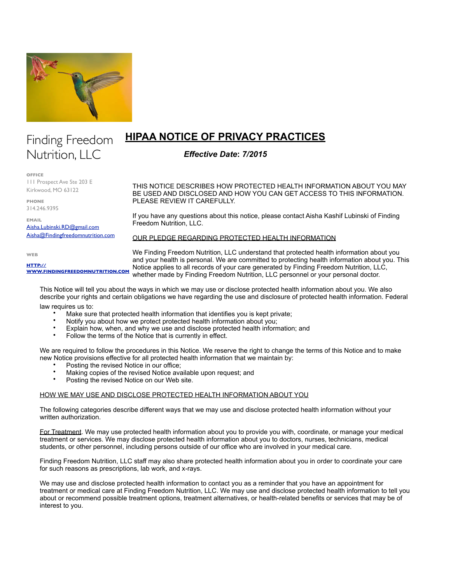

# Finding Freedom Nutrition, LLC

**OFFICE**

111 Prospect Ave Ste 203 E Kirkwood, MO 63122

**PHONE** 314.246.9395

**EMAIL** [Aisha.Lubinski.RD@gmail.com](mailto:Aisha.Lubinski.RD@gmail.com) [Aisha@Findingfreedomnutrition.com](mailto:Aisha@Findingfreedomnutrition.com)

**WEB**

**HTTP:// [WWW.FINDINGFREEDOMNUTRITION.COM](http://www.FindingFreedomNutrition.com)**

THIS NOTICE DESCRIBES HOW PROTECTED HEALTH INFORMATION ABOUT YOU MAY BE USED AND DISCLOSED AND HOW YOU CAN GET ACCESS TO THIS INFORMATION. PLEASE REVIEW IT CAREFULLY.

If you have any questions about this notice, please contact Aisha Kashif Lubinski of Finding Freedom Nutrition, LLC.

OUR PLEDGE REGARDING PROTECTED HEALTH INFORMATION

**HIPAA NOTICE OF PRIVACY PRACTICES**

*Effective Date***:** *7/2015*

We Finding Freedom Nutrition, LLC understand that protected health information about you and your health is personal. We are committed to protecting health information about you. This Notice applies to all records of your care generated by Finding Freedom Nutrition, LLC, whether made by Finding Freedom Nutrition, LLC personnel or your personal doctor.

This Notice will tell you about the ways in which we may use or disclose protected health information about you. We also describe your rights and certain obligations we have regarding the use and disclosure of protected health information. Federal law requires us to:

- Make sure that protected health information that identifies you is kept private;
- Notify you about how we protect protected health information about you;
- Explain how, when, and why we use and disclose protected health information; and
- Follow the terms of the Notice that is currently in effect.

We are required to follow the procedures in this Notice. We reserve the right to change the terms of this Notice and to make new Notice provisions effective for all protected health information that we maintain by:

- Posting the revised Notice in our office;
- Making copies of the revised Notice available upon request; and
- Posting the revised Notice on our Web site.

# HOW WE MAY USE AND DISCLOSE PROTECTED HEALTH INFORMATION ABOUT YOU

The following categories describe different ways that we may use and disclose protected health information without your written authorization.

For Treatment. We may use protected health information about you to provide you with, coordinate, or manage your medical treatment or services. We may disclose protected health information about you to doctors, nurses, technicians, medical students, or other personnel, including persons outside of our office who are involved in your medical care.

Finding Freedom Nutrition, LLC staff may also share protected health information about you in order to coordinate your care for such reasons as prescriptions, lab work, and x-rays.

We may use and disclose protected health information to contact you as a reminder that you have an appointment for treatment or medical care at Finding Freedom Nutrition, LLC. We may use and disclose protected health information to tell you about or recommend possible treatment options, treatment alternatives, or health-related benefits or services that may be of interest to you.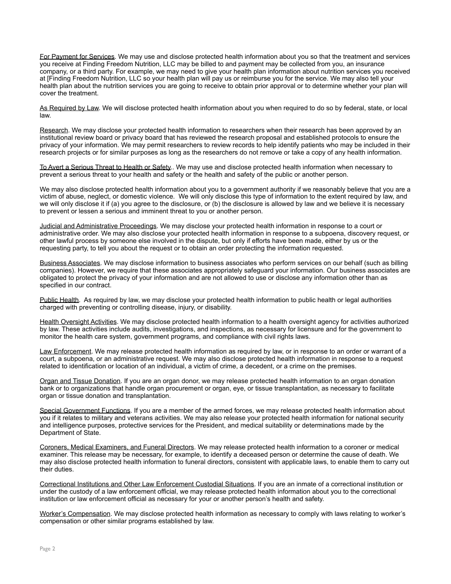For Payment for Services. We may use and disclose protected health information about you so that the treatment and services you receive at Finding Freedom Nutrition, LLC may be billed to and payment may be collected from you, an insurance company, or a third party. For example, we may need to give your health plan information about nutrition services you received at [Finding Freedom Nutrition, LLC so your health plan will pay us or reimburse you for the service. We may also tell your health plan about the nutrition services you are going to receive to obtain prior approval or to determine whether your plan will cover the treatment.

As Required by Law. We will disclose protected health information about you when required to do so by federal, state, or local law.

Research. We may disclose your protected health information to researchers when their research has been approved by an institutional review board or privacy board that has reviewed the research proposal and established protocols to ensure the privacy of your information. We may permit researchers to review records to help identify patients who may be included in their research projects or for similar purposes as long as the researchers do not remove or take a copy of any health information.

To Avert a Serious Threat to Health or Safety.. We may use and disclose protected health information when necessary to prevent a serious threat to your health and safety or the health and safety of the public or another person.

We may also disclose protected health information about you to a government authority if we reasonably believe that you are a victim of abuse, neglect, or domestic violence. We will only disclose this type of information to the extent required by law, and we will only disclose it if (a) you agree to the disclosure, or (b) the disclosure is allowed by law and we believe it is necessary to prevent or lessen a serious and imminent threat to you or another person.

Judicial and Administrative Proceedings. We may disclose your protected health information in response to a court or administrative order. We may also disclose your protected health information in response to a subpoena, discovery request, or other lawful process by someone else involved in the dispute, but only if efforts have been made, either by us or the requesting party, to tell you about the request or to obtain an order protecting the information requested.

Business Associates. We may disclose information to business associates who perform services on our behalf (such as billing companies). However, we require that these associates appropriately safeguard your information. Our business associates are obligated to protect the privacy of your information and are not allowed to use or disclose any information other than as specified in our contract.

Public Health. As required by law, we may disclose your protected health information to public health or legal authorities charged with preventing or controlling disease, injury, or disability.

Health Oversight Activities. We may disclose protected health information to a health oversight agency for activities authorized by law. These activities include audits, investigations, and inspections, as necessary for licensure and for the government to monitor the health care system, government programs, and compliance with civil rights laws.

Law Enforcement. We may release protected health information as required by law, or in response to an order or warrant of a court, a subpoena, or an administrative request. We may also disclose protected health information in response to a request related to identification or location of an individual, a victim of crime, a decedent, or a crime on the premises.

Organ and Tissue Donation. If you are an organ donor, we may release protected health information to an organ donation bank or to organizations that handle organ procurement or organ, eye, or tissue transplantation, as necessary to facilitate organ or tissue donation and transplantation.

Special Government Functions. If you are a member of the armed forces, we may release protected health information about you if it relates to military and veterans activities. We may also release your protected health information for national security and intelligence purposes, protective services for the President, and medical suitability or determinations made by the Department of State.

Coroners, Medical Examiners, and Funeral Directors. We may release protected health information to a coroner or medical examiner. This release may be necessary, for example, to identify a deceased person or determine the cause of death. We may also disclose protected health information to funeral directors, consistent with applicable laws, to enable them to carry out their duties.

Correctional Institutions and Other Law Enforcement Custodial Situations. If you are an inmate of a correctional institution or under the custody of a law enforcement official, we may release protected health information about you to the correctional institution or law enforcement official as necessary for your or another person's health and safety.

Worker's Compensation. We may disclose protected health information as necessary to comply with laws relating to worker's compensation or other similar programs established by law.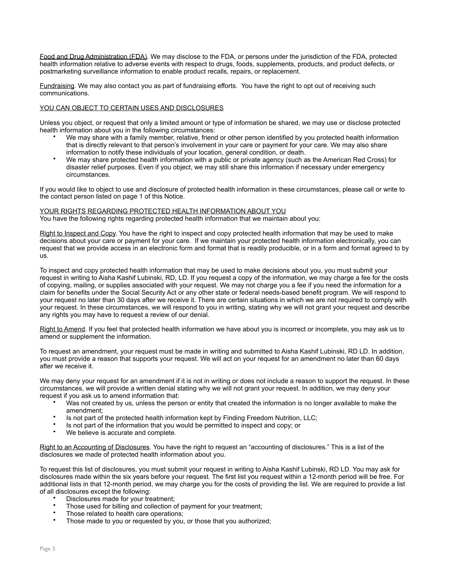Food and Drug Administration (FDA). We may disclose to the FDA, or persons under the jurisdiction of the FDA, protected health information relative to adverse events with respect to drugs, foods, supplements, products, and product defects, or postmarketing surveillance information to enable product recalls, repairs, or replacement.

Fundraising. We may also contact you as part of fundraising efforts. You have the right to opt out of receiving such communications.

# YOU CAN OBJECT TO CERTAIN USES AND DISCLOSURES

Unless you object, or request that only a limited amount or type of information be shared, we may use or disclose protected health information about you in the following circumstances:

- We may share with a family member, relative, friend or other person identified by you protected health information that is directly relevant to that person's involvement in your care or payment for your care. We may also share information to notify these individuals of your location, general condition, or death.
- We may share protected health information with a public or private agency (such as the American Red Cross) for disaster relief purposes. Even if you object, we may still share this information if necessary under emergency circumstances.

If you would like to object to use and disclosure of protected health information in these circumstances, please call or write to the contact person listed on page 1 of this Notice.

## YOUR RIGHTS REGARDING PROTECTED HEALTH INFORMATION ABOUT YOU

You have the following rights regarding protected health information that we maintain about you:

Right to Inspect and Copy. You have the right to inspect and copy protected health information that may be used to make decisions about your care or payment for your care. If we maintain your protected health information electronically, you can request that we provide access in an electronic form and format that is readily producible, or in a form and format agreed to by us.

To inspect and copy protected health information that may be used to make decisions about you, you must submit your request in writing to Aisha Kashif Lubinski, RD, LD. If you request a copy of the information, we may charge a fee for the costs of copying, mailing, or supplies associated with your request. We may not charge you a fee if you need the information for a claim for benefits under the Social Security Act or any other state or federal needs-based benefit program. We will respond to your request no later than 30 days after we receive it. There are certain situations in which we are not required to comply with your request. In these circumstances, we will respond to you in writing, stating why we will not grant your request and describe any rights you may have to request a review of our denial.

Right to Amend. If you feel that protected health information we have about you is incorrect or incomplete, you may ask us to amend or supplement the information.

To request an amendment, your request must be made in writing and submitted to Aisha Kashif Lubinski, RD LD. In addition, you must provide a reason that supports your request. We will act on your request for an amendment no later than 60 days after we receive it.

We may deny your request for an amendment if it is not in writing or does not include a reason to support the request. In these circumstances, we will provide a written denial stating why we will not grant your request. In addition, we may deny your request if you ask us to amend information that:

- Was not created by us, unless the person or entity that created the information is no longer available to make the amendment;
- Is not part of the protected health information kept by Finding Freedom Nutrition, LLC;
- Is not part of the information that you would be permitted to inspect and copy; or
- We believe is accurate and complete.

Right to an Accounting of Disclosures. You have the right to request an "accounting of disclosures." This is a list of the disclosures we made of protected health information about you.

To request this list of disclosures, you must submit your request in writing to Aisha Kashif Lubinski, RD LD. You may ask for disclosures made within the six years before your request. The first list you request within a 12-month period will be free. For additional lists in that 12-month period, we may charge you for the costs of providing the list. We are required to provide a list of all disclosures except the following:

- Disclosures made for your treatment;
- Those used for billing and collection of payment for your treatment;
- Those related to health care operations;
- Those made to you or requested by you, or those that you authorized;